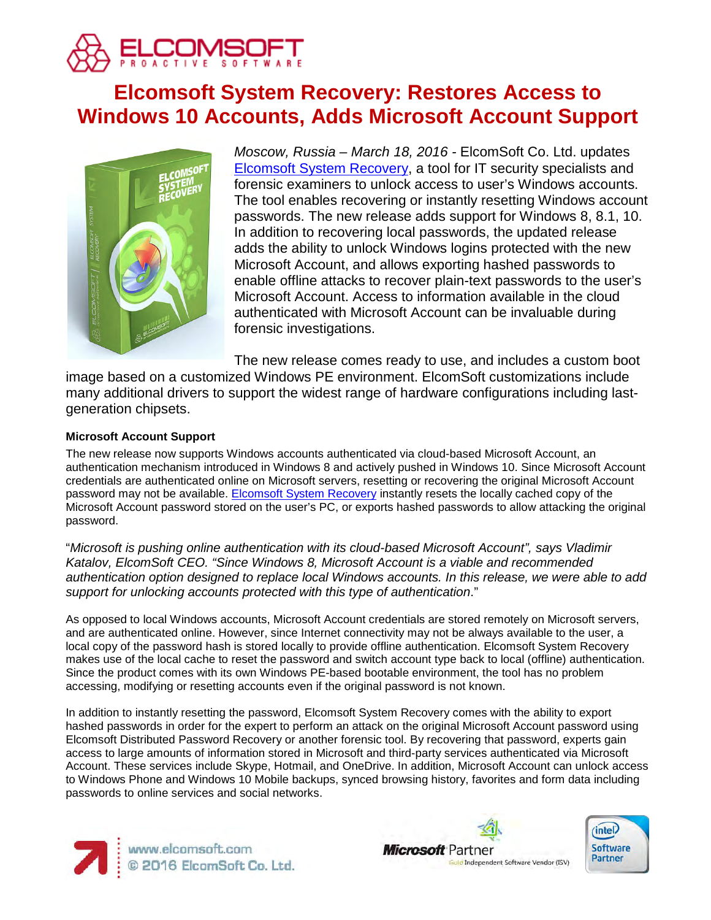

# **Elcomsoft System Recovery: Restores Access to Windows 10 Accounts, Adds Microsoft Account Support**



*Moscow, Russia – March 18, 2016 -* ElcomSoft Co. Ltd. updates [Elcomsoft System Recovery,](https://www.elcomsoft.com/esr.html) a tool for IT security specialists and forensic examiners to unlock access to user's Windows accounts. The tool enables recovering or instantly resetting Windows account passwords. The new release adds support for Windows 8, 8.1, 10. In addition to recovering local passwords, the updated release adds the ability to unlock Windows logins protected with the new Microsoft Account, and allows exporting hashed passwords to enable offline attacks to recover plain-text passwords to the user's Microsoft Account. Access to information available in the cloud authenticated with Microsoft Account can be invaluable during forensic investigations.

The new release comes ready to use, and includes a custom boot

image based on a customized Windows PE environment. ElcomSoft customizations include many additional drivers to support the widest range of hardware configurations including lastgeneration chipsets.

# **Microsoft Account Support**

The new release now supports Windows accounts authenticated via cloud-based Microsoft Account, an authentication mechanism introduced in Windows 8 and actively pushed in Windows 10. Since Microsoft Account credentials are authenticated online on Microsoft servers, resetting or recovering the original Microsoft Account password may not be available. [Elcomsoft System Recovery](https://www.elcomsoft.com/esr.html) instantly resets the locally cached copy of the Microsoft Account password stored on the user's PC, or exports hashed passwords to allow attacking the original password.

"*Microsoft is pushing online authentication with its cloud-based Microsoft Account", says Vladimir Katalov, ElcomSoft CEO. "Since Windows 8, Microsoft Account is a viable and recommended authentication option designed to replace local Windows accounts. In this release, we were able to add support for unlocking accounts protected with this type of authentication*."

As opposed to local Windows accounts, Microsoft Account credentials are stored remotely on Microsoft servers, and are authenticated online. However, since Internet connectivity may not be always available to the user, a local copy of the password hash is stored locally to provide offline authentication. Elcomsoft System Recovery makes use of the local cache to reset the password and switch account type back to local (offline) authentication. Since the product comes with its own Windows PE-based bootable environment, the tool has no problem accessing, modifying or resetting accounts even if the original password is not known.

In addition to instantly resetting the password, Elcomsoft System Recovery comes with the ability to export hashed passwords in order for the expert to perform an attack on the original Microsoft Account password using Elcomsoft Distributed Password Recovery or another forensic tool. By recovering that password, experts gain access to large amounts of information stored in Microsoft and third-party services authenticated via Microsoft Account. These services include Skype, Hotmail, and OneDrive. In addition, Microsoft Account can unlock access to Windows Phone and Windows 10 Mobile backups, synced browsing history, favorites and form data including passwords to online services and social networks.